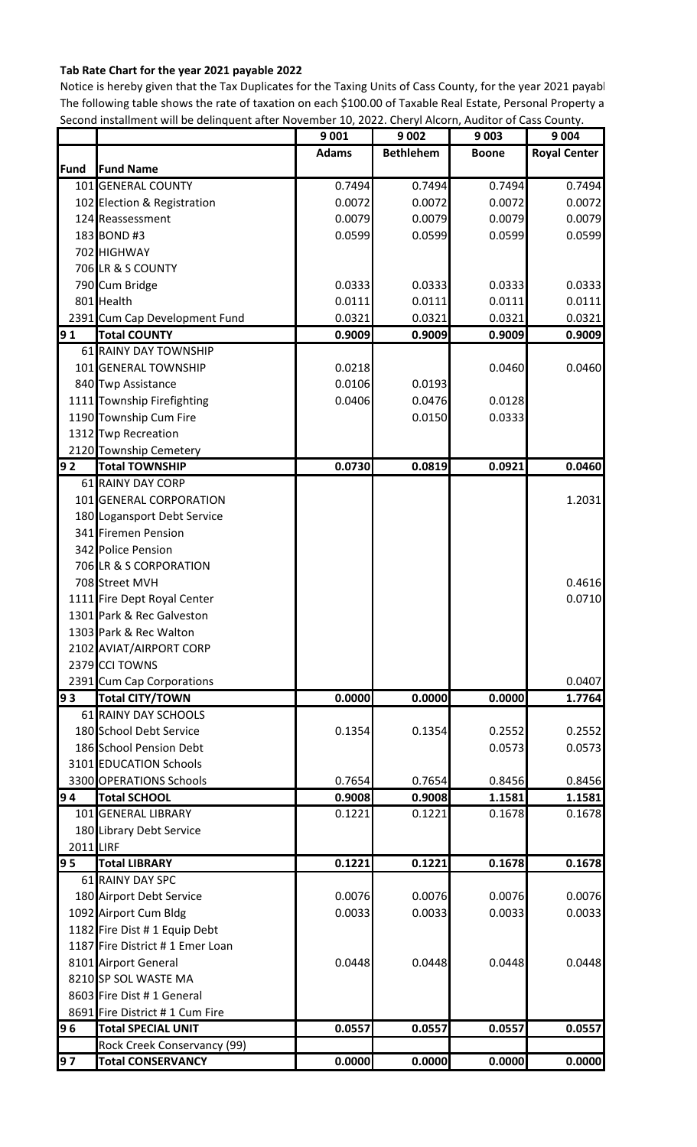## **Tab Rate Chart for the year 2021 payable 2022**

Notice is hereby given that the Tax Duplicates for the Taxing Units of Cass County, for the year 2021 payabl The following table shows the rate of taxation on each \$100.00 of Taxable Real Estate, Personal Property a Second installment will be delinquent after November 10, 2022. Cheryl Alcorn, Auditor of Cass County.

|           |                                 | 9 0 0 1      | 9 0 0 2          | 9 0 03       | 9 0 0 4             |
|-----------|---------------------------------|--------------|------------------|--------------|---------------------|
| Fund      | <b>Fund Name</b>                | <b>Adams</b> | <b>Bethlehem</b> | <b>Boone</b> | <b>Royal Center</b> |
|           | 101 GENERAL COUNTY              | 0.7494       | 0.7494           | 0.7494       | 0.7494              |
|           | 102 Election & Registration     | 0.0072       | 0.0072           | 0.0072       | 0.0072              |
|           | 124 Reassessment                | 0.0079       | 0.0079           | 0.0079       | 0.0079              |
|           | 183 BOND #3                     | 0.0599       | 0.0599           | 0.0599       | 0.0599              |
|           | 702 HIGHWAY                     |              |                  |              |                     |
|           | 706 LR & S COUNTY               |              |                  |              |                     |
|           | 790 Cum Bridge                  | 0.0333       | 0.0333           | 0.0333       | 0.0333              |
|           | 801 Health                      | 0.0111       | 0.0111           | 0.0111       | 0.0111              |
|           | 2391 Cum Cap Development Fund   | 0.0321       | 0.0321           | 0.0321       | 0.0321              |
| 91        | <b>Total COUNTY</b>             | 0.9009       | 0.9009           | 0.9009       | 0.9009              |
|           | 61 RAINY DAY TOWNSHIP           |              |                  |              |                     |
|           | 101 GENERAL TOWNSHIP            | 0.0218       |                  | 0.0460       | 0.0460              |
|           | 840 Twp Assistance              | 0.0106       | 0.0193           |              |                     |
|           | 1111 Township Firefighting      | 0.0406       | 0.0476           | 0.0128       |                     |
|           | 1190 Township Cum Fire          |              | 0.0150           | 0.0333       |                     |
|           | 1312 Twp Recreation             |              |                  |              |                     |
|           | 2120 Township Cemetery          |              |                  |              |                     |
| 92        | <b>Total TOWNSHIP</b>           | 0.0730       | 0.0819           | 0.0921       | 0.0460              |
|           | 61 RAINY DAY CORP               |              |                  |              |                     |
|           | 101 GENERAL CORPORATION         |              |                  |              | 1.2031              |
|           | 180 Logansport Debt Service     |              |                  |              |                     |
|           | 341 Firemen Pension             |              |                  |              |                     |
|           | 342 Police Pension              |              |                  |              |                     |
|           | 706 LR & S CORPORATION          |              |                  |              |                     |
|           | 708 Street MVH                  |              |                  |              | 0.4616              |
|           | 1111 Fire Dept Royal Center     |              |                  |              | 0.0710              |
|           | 1301 Park & Rec Galveston       |              |                  |              |                     |
|           | 1303 Park & Rec Walton          |              |                  |              |                     |
|           | 2102 AVIAT/AIRPORT CORP         |              |                  |              |                     |
|           | 2379 CCI TOWNS                  |              |                  |              |                     |
|           | 2391 Cum Cap Corporations       |              |                  |              | 0.0407              |
| 93        | <b>Total CITY/TOWN</b>          | 0.0000       | 0.0000           | 0.0000       | 1.7764              |
|           | 61 RAINY DAY SCHOOLS            |              |                  |              |                     |
|           | 180 School Debt Service         | 0.1354       | 0.1354           | 0.2552       | 0.2552              |
|           | 186 School Pension Debt         |              |                  | 0.0573       | 0.0573              |
|           | 3101 EDUCATION Schools          |              |                  |              |                     |
|           | 3300 OPERATIONS Schools         | 0.7654       | 0.7654           | 0.8456       | 0.8456              |
| 94        | <b>Total SCHOOL</b>             | 0.9008       | 0.9008           | 1.1581       | 1.1581              |
|           | 101 GENERAL LIBRARY             | 0.1221       | 0.1221           | 0.1678       | 0.1678              |
|           | 180 Library Debt Service        |              |                  |              |                     |
| 2011 LIRF |                                 |              |                  |              |                     |
| 95        | <b>Total LIBRARY</b>            | 0.1221       | 0.1221           | 0.1678       | 0.1678              |
|           | 61 RAINY DAY SPC                |              |                  |              |                     |
|           | 180 Airport Debt Service        | 0.0076       | 0.0076           | 0.0076       | 0.0076              |
|           | 1092 Airport Cum Bldg           | 0.0033       | 0.0033           | 0.0033       | 0.0033              |
|           | 1182 Fire Dist # 1 Equip Debt   |              |                  |              |                     |
|           | 1187 Fire District #1 Emer Loan |              |                  |              |                     |
|           | 8101 Airport General            | 0.0448       | 0.0448           | 0.0448       | 0.0448              |
|           | 8210 SP SOL WASTE MA            |              |                  |              |                     |
|           | 8603 Fire Dist # 1 General      |              |                  |              |                     |
|           | 8691 Fire District #1 Cum Fire  |              |                  |              |                     |
| 96        | <b>Total SPECIAL UNIT</b>       | 0.0557       | 0.0557           | 0.0557       | 0.0557              |
|           | Rock Creek Conservancy (99)     |              |                  |              |                     |
| 97        | <b>Total CONSERVANCY</b>        | 0.0000       | 0.0000           | 0.0000       | 0.0000              |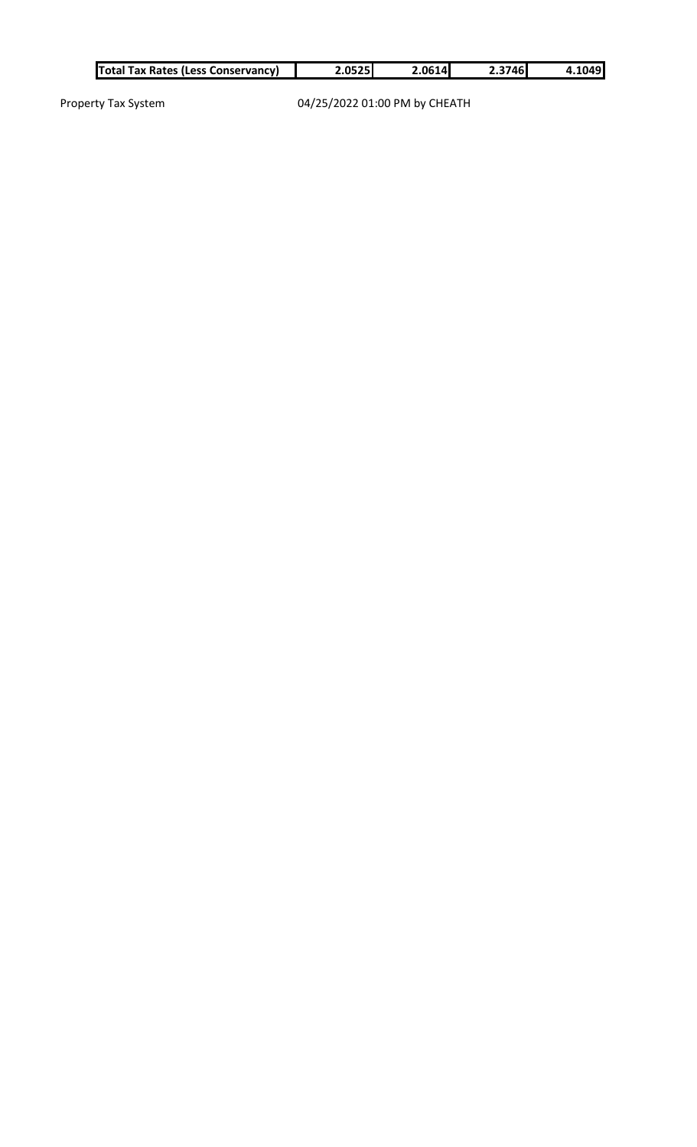| <b>Total Tax Rates (Less Conservancy)</b> | 2.05251 | 2.06141 | 2.37461 | 4.1049 |
|-------------------------------------------|---------|---------|---------|--------|
|-------------------------------------------|---------|---------|---------|--------|

Property Tax System  $04/25/2022 01:00$  PM by CHEATH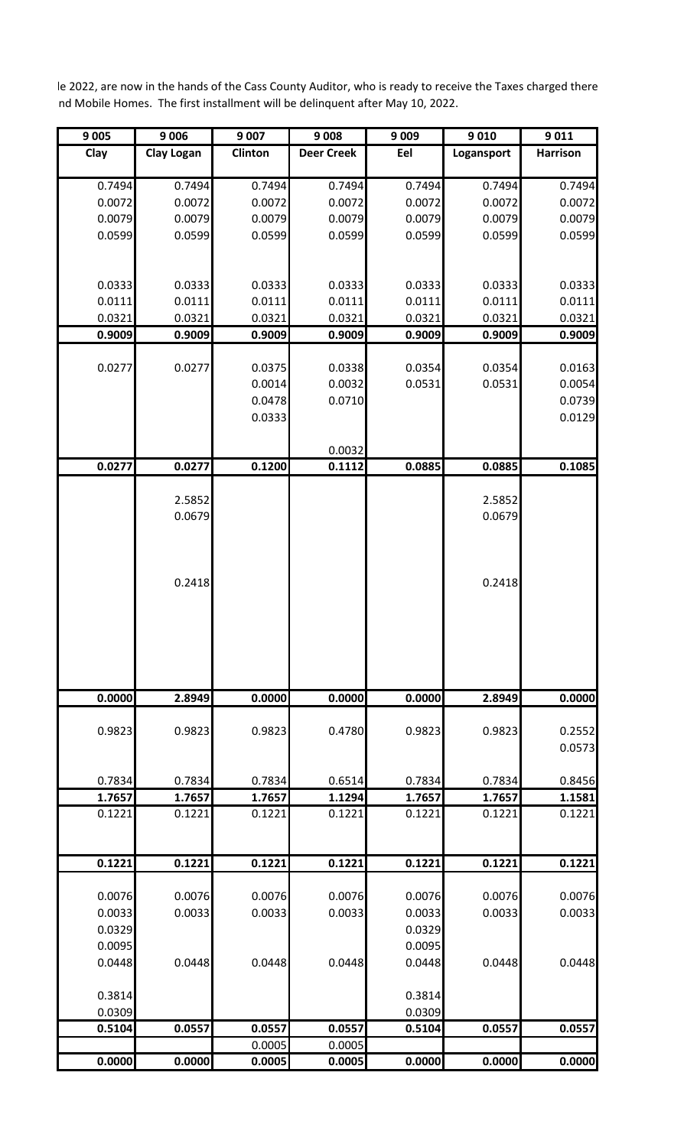Ie 2022, are now in the hands of the Cass County Auditor, who is ready to receive the Taxes charged there nd Mobile Homes. The first installment will be delinquent after May 10, 2022.

| 9005             | 9 0 0 6           | 9 0 0 7          | 9008              | 9 0 0 9 | 9010             | 9011            |
|------------------|-------------------|------------------|-------------------|---------|------------------|-----------------|
| Clay             | <b>Clay Logan</b> | Clinton          | <b>Deer Creek</b> | Eel     | Logansport       | <b>Harrison</b> |
| 0.7494           | 0.7494            | 0.7494           | 0.7494            | 0.7494  | 0.7494           | 0.7494          |
| 0.0072           | 0.0072            | 0.0072           | 0.0072            | 0.0072  | 0.0072           | 0.0072          |
| 0.0079           | 0.0079            | 0.0079           | 0.0079            | 0.0079  | 0.0079           | 0.0079          |
| 0.0599           | 0.0599            | 0.0599           | 0.0599            | 0.0599  | 0.0599           | 0.0599          |
|                  |                   |                  |                   |         |                  |                 |
|                  | 0.0333            | 0.0333           | 0.0333            | 0.0333  |                  | 0.0333          |
| 0.0333<br>0.0111 | 0.0111            | 0.0111           | 0.0111            | 0.0111  | 0.0333<br>0.0111 | 0.0111          |
| 0.0321           | 0.0321            | 0.0321           | 0.0321            | 0.0321  | 0.0321           | 0.0321          |
| 0.9009           | 0.9009            | 0.9009           | 0.9009            | 0.9009  | 0.9009           | 0.9009          |
|                  |                   |                  |                   |         |                  |                 |
| 0.0277           | 0.0277            | 0.0375           | 0.0338            | 0.0354  | 0.0354           | 0.0163          |
|                  |                   | 0.0014           | 0.0032            | 0.0531  | 0.0531           | 0.0054          |
|                  |                   | 0.0478           | 0.0710            |         |                  | 0.0739          |
|                  |                   | 0.0333           |                   |         |                  | 0.0129          |
|                  |                   |                  | 0.0032            |         |                  |                 |
| 0.0277           | 0.0277            | 0.1200           | 0.1112            | 0.0885  | 0.0885           | 0.1085          |
|                  |                   |                  |                   |         |                  |                 |
|                  | 2.5852            |                  |                   |         | 2.5852           |                 |
|                  | 0.0679            |                  |                   |         | 0.0679           |                 |
|                  |                   |                  |                   |         |                  |                 |
|                  |                   |                  |                   |         |                  |                 |
|                  |                   |                  |                   |         |                  |                 |
|                  | 0.2418            |                  |                   |         | 0.2418           |                 |
|                  |                   |                  |                   |         |                  |                 |
|                  |                   |                  |                   |         |                  |                 |
|                  |                   |                  |                   |         |                  |                 |
|                  |                   |                  |                   |         |                  |                 |
|                  |                   |                  |                   |         |                  |                 |
| 0.0000           | 2.8949            | 0.0000           | 0.0000            | 0.0000  | 2.8949           | 0.0000          |
| 0.9823           | 0.9823            | 0.9823           | 0.4780            | 0.9823  | 0.9823           | 0.2552          |
|                  |                   |                  |                   |         |                  | 0.0573          |
|                  |                   |                  |                   |         |                  |                 |
| 0.7834           | 0.7834            | 0.7834           | 0.6514            | 0.7834  | 0.7834           | 0.8456          |
| 1.7657           | 1.7657            | 1.7657           | 1.1294            | 1.7657  | 1.7657           | 1.1581          |
| 0.1221           | 0.1221            | 0.1221           | 0.1221            | 0.1221  | 0.1221           | 0.1221          |
|                  |                   |                  |                   |         |                  |                 |
| 0.1221           | 0.1221            | 0.1221           | 0.1221            | 0.1221  | 0.1221           | 0.1221          |
|                  |                   |                  |                   |         |                  |                 |
| 0.0076           | 0.0076            | 0.0076           | 0.0076            | 0.0076  | 0.0076           | 0.0076          |
| 0.0033           | 0.0033            | 0.0033           | 0.0033            | 0.0033  | 0.0033           | 0.0033          |
| 0.0329           |                   |                  |                   | 0.0329  |                  |                 |
| 0.0095           |                   |                  |                   | 0.0095  |                  |                 |
| 0.0448           | 0.0448            | 0.0448           | 0.0448            | 0.0448  | 0.0448           | 0.0448          |
|                  |                   |                  |                   |         |                  |                 |
| 0.3814           |                   |                  |                   | 0.3814  |                  |                 |
| 0.0309           |                   |                  |                   | 0.0309  |                  |                 |
| 0.5104           | 0.0557            | 0.0557           | 0.0557            | 0.5104  | 0.0557           | 0.0557          |
| 0.0000           | 0.0000            | 0.0005<br>0.0005 | 0.0005<br>0.0005  | 0.0000  | 0.0000           | 0.0000          |
|                  |                   |                  |                   |         |                  |                 |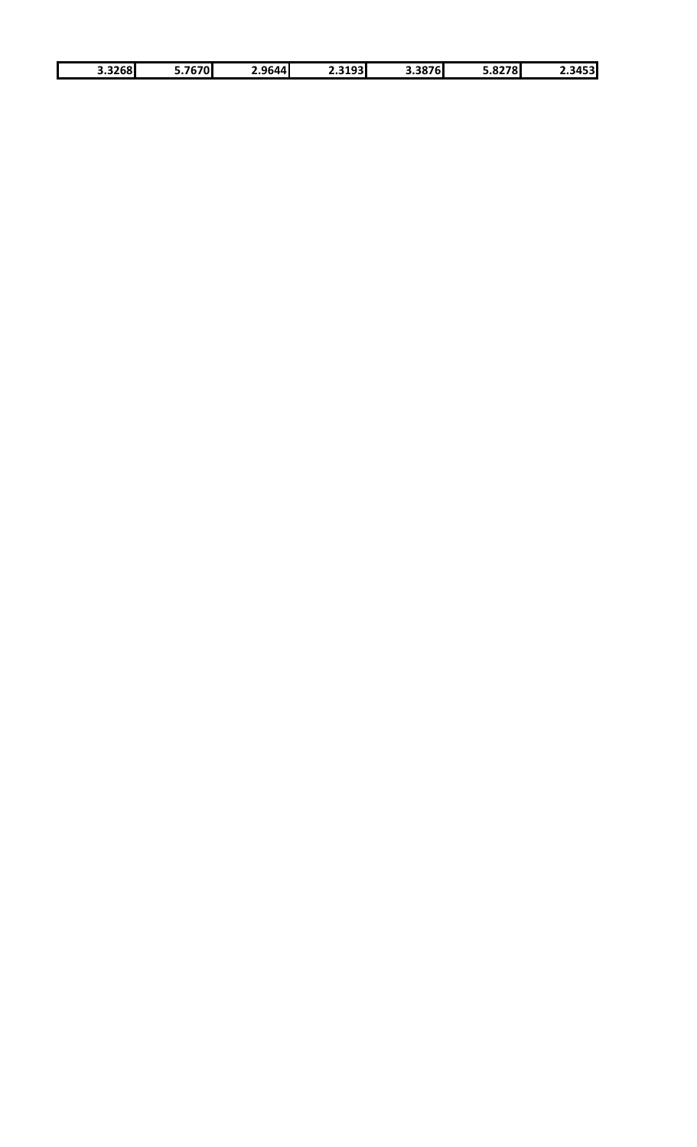| 3.3268 | 7670<br>,,, | 9644 | 2.3193 | 3.3876 | 8278<br>J.OZ' | יככי<br>ر . |
|--------|-------------|------|--------|--------|---------------|-------------|
|        |             |      |        |        |               |             |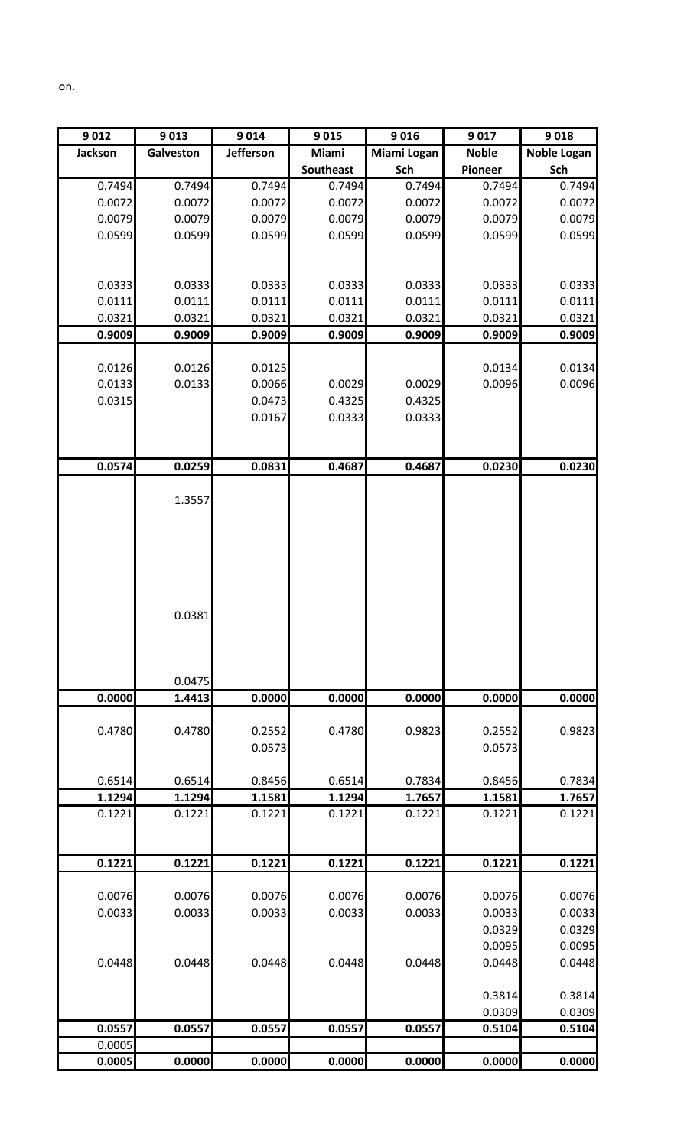|--|

| 9012    | 9013      | 9014             | 9015             | 9016        | 9017             | 9018               |
|---------|-----------|------------------|------------------|-------------|------------------|--------------------|
| Jackson | Galveston | Jefferson        | Miami            | Miami Logan | <b>Noble</b>     | <b>Noble Logan</b> |
|         |           |                  | Southeast        | Sch         | Pioneer          | Sch                |
| 0.7494  | 0.7494    | 0.7494           | 0.7494           | 0.7494      | 0.7494           | 0.7494             |
| 0.0072  | 0.0072    | 0.0072           | 0.0072           | 0.0072      | 0.0072           | 0.0072             |
| 0.0079  | 0.0079    | 0.0079           | 0.0079           | 0.0079      | 0.0079           | 0.0079             |
| 0.0599  | 0.0599    | 0.0599           | 0.0599           | 0.0599      | 0.0599           | 0.0599             |
|         |           |                  |                  |             |                  |                    |
| 0.0333  | 0.0333    |                  |                  | 0.0333      | 0.0333           | 0.0333             |
| 0.0111  | 0.0111    | 0.0333<br>0.0111 | 0.0333<br>0.0111 | 0.0111      | 0.0111           | 0.0111             |
| 0.0321  | 0.0321    | 0.0321           | 0.0321           | 0.0321      | 0.0321           | 0.0321             |
| 0.9009  | 0.9009    | 0.9009           | 0.9009           | 0.9009      | 0.9009           | 0.9009             |
|         |           |                  |                  |             |                  |                    |
| 0.0126  | 0.0126    | 0.0125           |                  |             | 0.0134           | 0.0134             |
| 0.0133  | 0.0133    | 0.0066           | 0.0029           | 0.0029      | 0.0096           | 0.0096             |
| 0.0315  |           | 0.0473           | 0.4325           | 0.4325      |                  |                    |
|         |           | 0.0167           | 0.0333           | 0.0333      |                  |                    |
|         |           |                  |                  |             |                  |                    |
|         |           |                  |                  |             |                  |                    |
| 0.0574  | 0.0259    | 0.0831           | 0.4687           | 0.4687      | 0.0230           | 0.0230             |
|         | 1.3557    |                  |                  |             |                  |                    |
|         |           |                  |                  |             |                  |                    |
|         |           |                  |                  |             |                  |                    |
|         |           |                  |                  |             |                  |                    |
|         |           |                  |                  |             |                  |                    |
|         |           |                  |                  |             |                  |                    |
|         |           |                  |                  |             |                  |                    |
|         | 0.0381    |                  |                  |             |                  |                    |
|         |           |                  |                  |             |                  |                    |
|         |           |                  |                  |             |                  |                    |
|         |           |                  |                  |             |                  |                    |
|         | 0.0475    |                  |                  |             |                  |                    |
| 0.0000  | 1.4413    | 0.0000           | 0.0000           | 0.0000      | 0.0000           | 0.0000             |
| 0.4780  | 0.4780    | 0.2552           | 0.4780           | 0.9823      | 0.2552           | 0.9823             |
|         |           | 0.0573           |                  |             | 0.0573           |                    |
|         |           |                  |                  |             |                  |                    |
| 0.6514  | 0.6514    | 0.8456           | 0.6514           | 0.7834      | 0.8456           | 0.7834             |
| 1.1294  | 1.1294    | 1.1581           | 1.1294           | 1.7657      | 1.1581           | 1.7657             |
| 0.1221  | 0.1221    | 0.1221           | 0.1221           | 0.1221      | 0.1221           | 0.1221             |
|         |           |                  |                  |             |                  |                    |
|         |           |                  |                  |             |                  |                    |
| 0.1221  | 0.1221    | 0.1221           | 0.1221           | 0.1221      | 0.1221           | 0.1221             |
|         |           |                  |                  |             |                  |                    |
| 0.0076  | 0.0076    | 0.0076           | 0.0076           | 0.0076      | 0.0076           | 0.0076             |
| 0.0033  | 0.0033    | 0.0033           | 0.0033           | 0.0033      | 0.0033<br>0.0329 | 0.0033<br>0.0329   |
|         |           |                  |                  |             | 0.0095           | 0.0095             |
| 0.0448  | 0.0448    | 0.0448           | 0.0448           | 0.0448      | 0.0448           | 0.0448             |
|         |           |                  |                  |             |                  |                    |
|         |           |                  |                  |             | 0.3814           | 0.3814             |
|         |           |                  |                  |             | 0.0309           | 0.0309             |
| 0.0557  | 0.0557    | 0.0557           | 0.0557           | 0.0557      | 0.5104           | 0.5104             |
| 0.0005  |           |                  |                  |             |                  |                    |
| 0.0005  | 0.0000    | 0.0000           | 0.0000           | 0.0000      | 0.0000           | 0.0000             |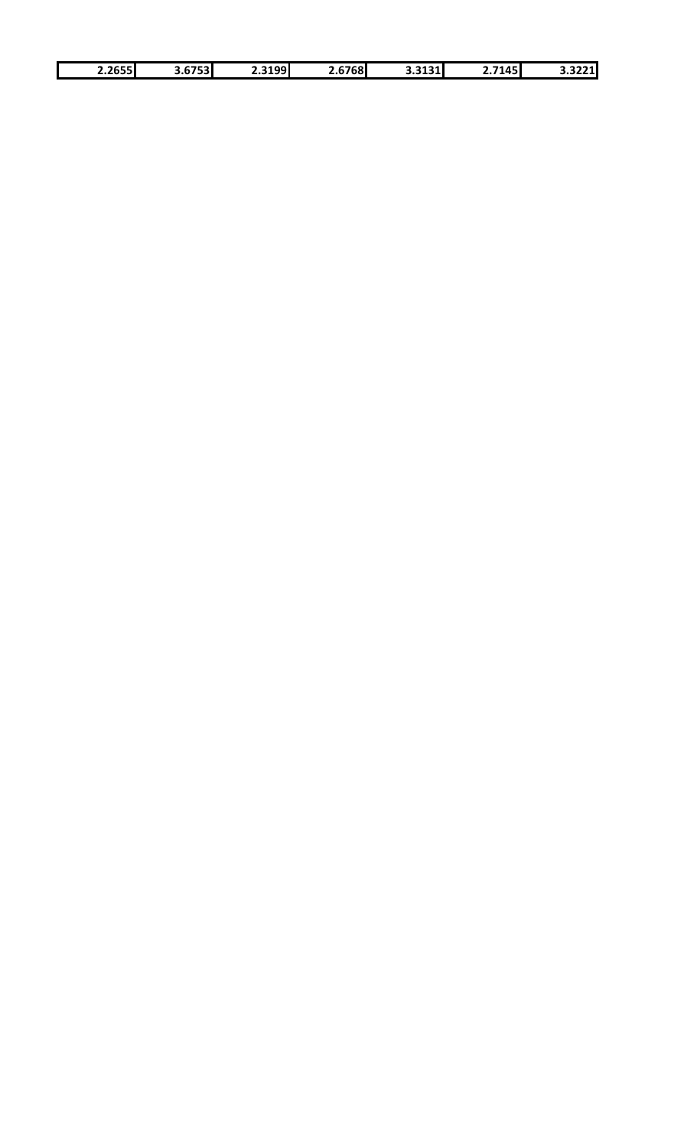| 2255<br>--- | . <i>.</i> ---1<br>J.67531 | .3199<br>. | 2.6768 | 2.2424<br>しこしエコエ | 7115 | J.JLLJ |
|-------------|----------------------------|------------|--------|------------------|------|--------|
|             |                            |            |        |                  |      |        |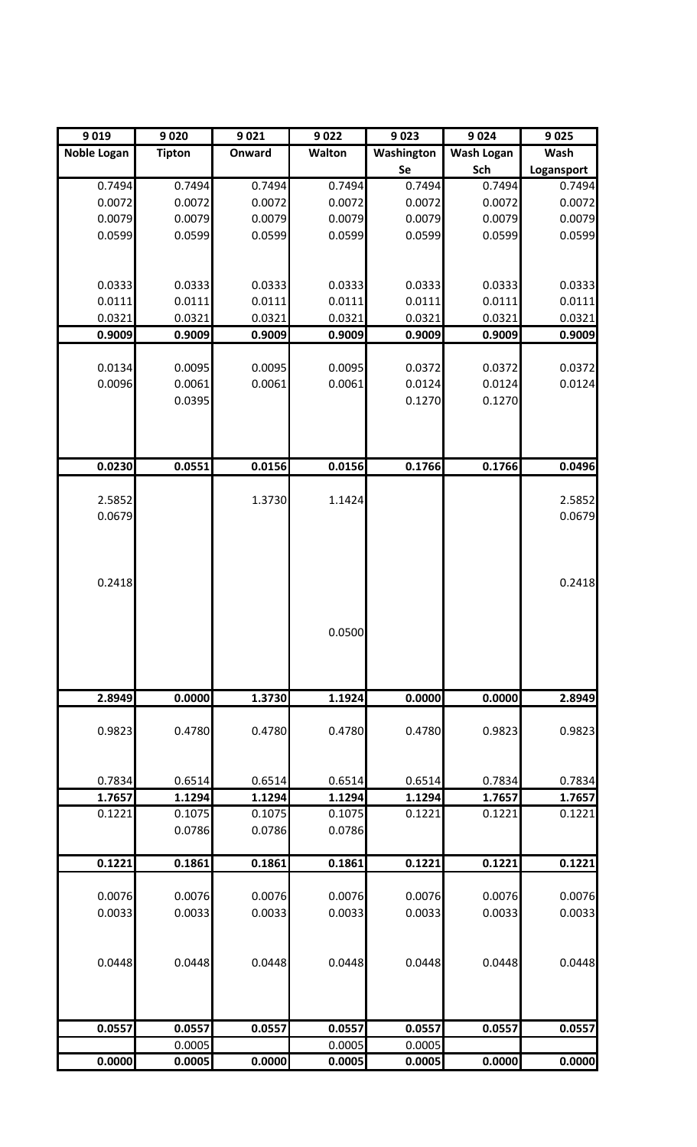| 9019               | 9020          | 9021   | 9022   | 9023       | 9024       | 9025       |
|--------------------|---------------|--------|--------|------------|------------|------------|
| <b>Noble Logan</b> | <b>Tipton</b> | Onward | Walton | Washington | Wash Logan | Wash       |
|                    |               |        |        | Se         | Sch        | Logansport |
| 0.7494             | 0.7494        | 0.7494 | 0.7494 | 0.7494     | 0.7494     | 0.7494     |
| 0.0072             | 0.0072        | 0.0072 | 0.0072 | 0.0072     | 0.0072     | 0.0072     |
| 0.0079             | 0.0079        | 0.0079 | 0.0079 | 0.0079     | 0.0079     | 0.0079     |
| 0.0599             | 0.0599        | 0.0599 | 0.0599 | 0.0599     | 0.0599     | 0.0599     |
|                    |               |        |        |            |            |            |
|                    |               |        |        |            |            |            |
| 0.0333             | 0.0333        | 0.0333 | 0.0333 | 0.0333     | 0.0333     | 0.0333     |
| 0.0111             | 0.0111        | 0.0111 | 0.0111 | 0.0111     | 0.0111     | 0.0111     |
| 0.0321             | 0.0321        | 0.0321 | 0.0321 | 0.0321     | 0.0321     | 0.0321     |
| 0.9009             | 0.9009        | 0.9009 | 0.9009 | 0.9009     | 0.9009     | 0.9009     |
|                    |               |        |        |            |            |            |
| 0.0134             | 0.0095        | 0.0095 | 0.0095 | 0.0372     | 0.0372     | 0.0372     |
| 0.0096             | 0.0061        | 0.0061 | 0.0061 | 0.0124     | 0.0124     | 0.0124     |
|                    | 0.0395        |        |        | 0.1270     | 0.1270     |            |
|                    |               |        |        |            |            |            |
|                    |               |        |        |            |            |            |
|                    |               |        |        |            |            |            |
| 0.0230             | 0.0551        | 0.0156 | 0.0156 | 0.1766     | 0.1766     | 0.0496     |
|                    |               |        |        |            |            |            |
| 2.5852             |               | 1.3730 | 1.1424 |            |            | 2.5852     |
| 0.0679             |               |        |        |            |            | 0.0679     |
|                    |               |        |        |            |            |            |
|                    |               |        |        |            |            |            |
|                    |               |        |        |            |            |            |
| 0.2418             |               |        |        |            |            | 0.2418     |
|                    |               |        |        |            |            |            |
|                    |               |        |        |            |            |            |
|                    |               |        | 0.0500 |            |            |            |
|                    |               |        |        |            |            |            |
|                    |               |        |        |            |            |            |
| 2.8949             | 0.0000        | 1.3730 | 1.1924 | 0.0000     | 0.0000     | 2.8949     |
|                    |               |        |        |            |            |            |
| 0.9823             | 0.4780        | 0.4780 | 0.4780 | 0.4780     | 0.9823     | 0.9823     |
|                    |               |        |        |            |            |            |
|                    |               |        |        |            |            |            |
| 0.7834             | 0.6514        | 0.6514 | 0.6514 | 0.6514     | 0.7834     | 0.7834     |
| 1.7657             | 1.1294        | 1.1294 | 1.1294 | 1.1294     | 1.7657     | 1.7657     |
| 0.1221             | 0.1075        | 0.1075 | 0.1075 | 0.1221     | 0.1221     | 0.1221     |
|                    | 0.0786        | 0.0786 | 0.0786 |            |            |            |
|                    |               |        |        |            |            |            |
| 0.1221             | 0.1861        | 0.1861 | 0.1861 | 0.1221     | 0.1221     | 0.1221     |
|                    |               |        |        |            |            |            |
| 0.0076             | 0.0076        | 0.0076 | 0.0076 | 0.0076     | 0.0076     | 0.0076     |
| 0.0033             | 0.0033        | 0.0033 | 0.0033 | 0.0033     | 0.0033     | 0.0033     |
|                    |               |        |        |            |            |            |
|                    |               |        |        |            |            |            |
| 0.0448             | 0.0448        | 0.0448 | 0.0448 | 0.0448     | 0.0448     | 0.0448     |
|                    |               |        |        |            |            |            |
|                    |               |        |        |            |            |            |
|                    |               |        |        |            |            |            |
| 0.0557             | 0.0557        | 0.0557 | 0.0557 | 0.0557     | 0.0557     | 0.0557     |
|                    | 0.0005        |        | 0.0005 | 0.0005     |            |            |
| 0.0000             | 0.0005        | 0.0000 | 0.0005 | 0.0005     | 0.0000     | 0.0000     |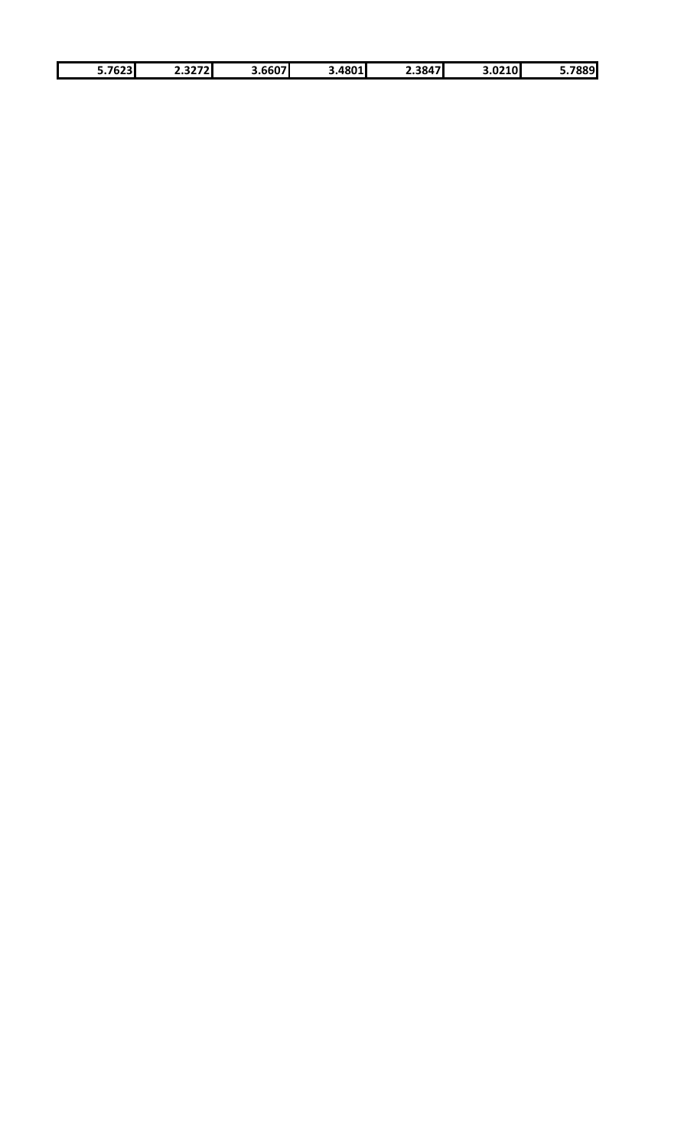| $\sim$ $\sim$ $\sim$ $\sim$<br>, .<br>וכגס<br><b></b> | , ,,,, <b>,</b><br>2.32/ZI | $\sim$<br>3.6607 | 3.4801 | 2.3847 | 3.0210 | וההי<br>. U<br>ooj' |
|-------------------------------------------------------|----------------------------|------------------|--------|--------|--------|---------------------|
|                                                       |                            |                  |        |        |        |                     |